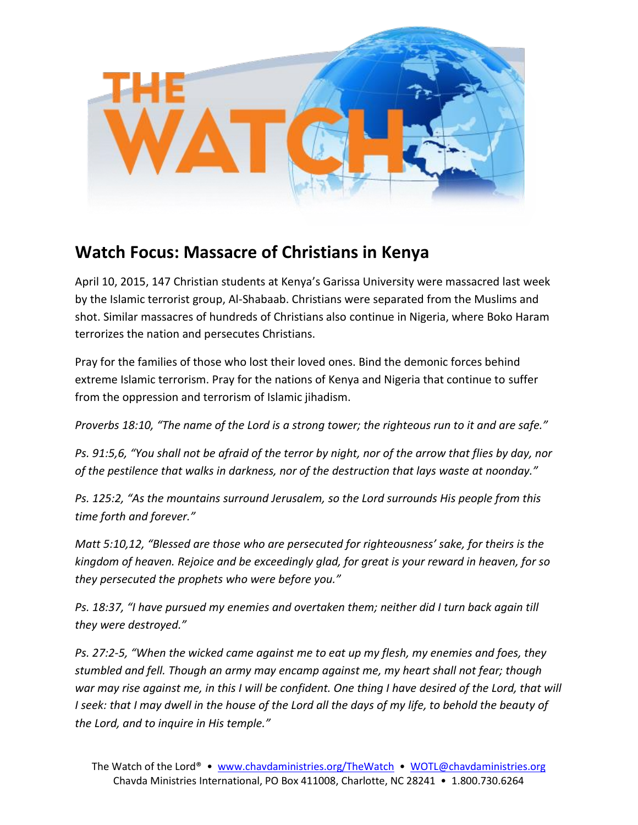

## **Watch Focus: Massacre of Christians in Kenya**

April 10, 2015, 147 Christian students at Kenya's Garissa University were massacred last week by the Islamic terrorist group, Al-Shabaab. Christians were separated from the Muslims and shot. Similar massacres of hundreds of Christians also continue in Nigeria, where Boko Haram terrorizes the nation and persecutes Christians.

Pray for the families of those who lost their loved ones. Bind the demonic forces behind extreme Islamic terrorism. Pray for the nations of Kenya and Nigeria that continue to suffer from the oppression and terrorism of Islamic jihadism.

*Proverbs 18:10, "The name of the Lord is a strong tower; the righteous run to it and are safe."*

*Ps. 91:5,6, "You shall not be afraid of the terror by night, nor of the arrow that flies by day, nor of the pestilence that walks in darkness, nor of the destruction that lays waste at noonday."* 

*Ps. 125:2, "As the mountains surround Jerusalem, so the Lord surrounds His people from this time forth and forever."*

*Matt 5:10,12, "Blessed are those who are persecuted for righteousness' sake, for theirs is the kingdom of heaven. Rejoice and be exceedingly glad, for great is your reward in heaven, for so they persecuted the prophets who were before you."*

*Ps. 18:37, "I have pursued my enemies and overtaken them; neither did I turn back again till they were destroyed."*

*Ps. 27:2-5, "When the wicked came against me to eat up my flesh, my enemies and foes, they stumbled and fell. Though an army may encamp against me, my heart shall not fear; though war may rise against me, in this I will be confident. One thing I have desired of the Lord, that will I* seek: that I may dwell in the house of the Lord all the days of my life, to behold the beauty of *the Lord, and to inquire in His temple."*